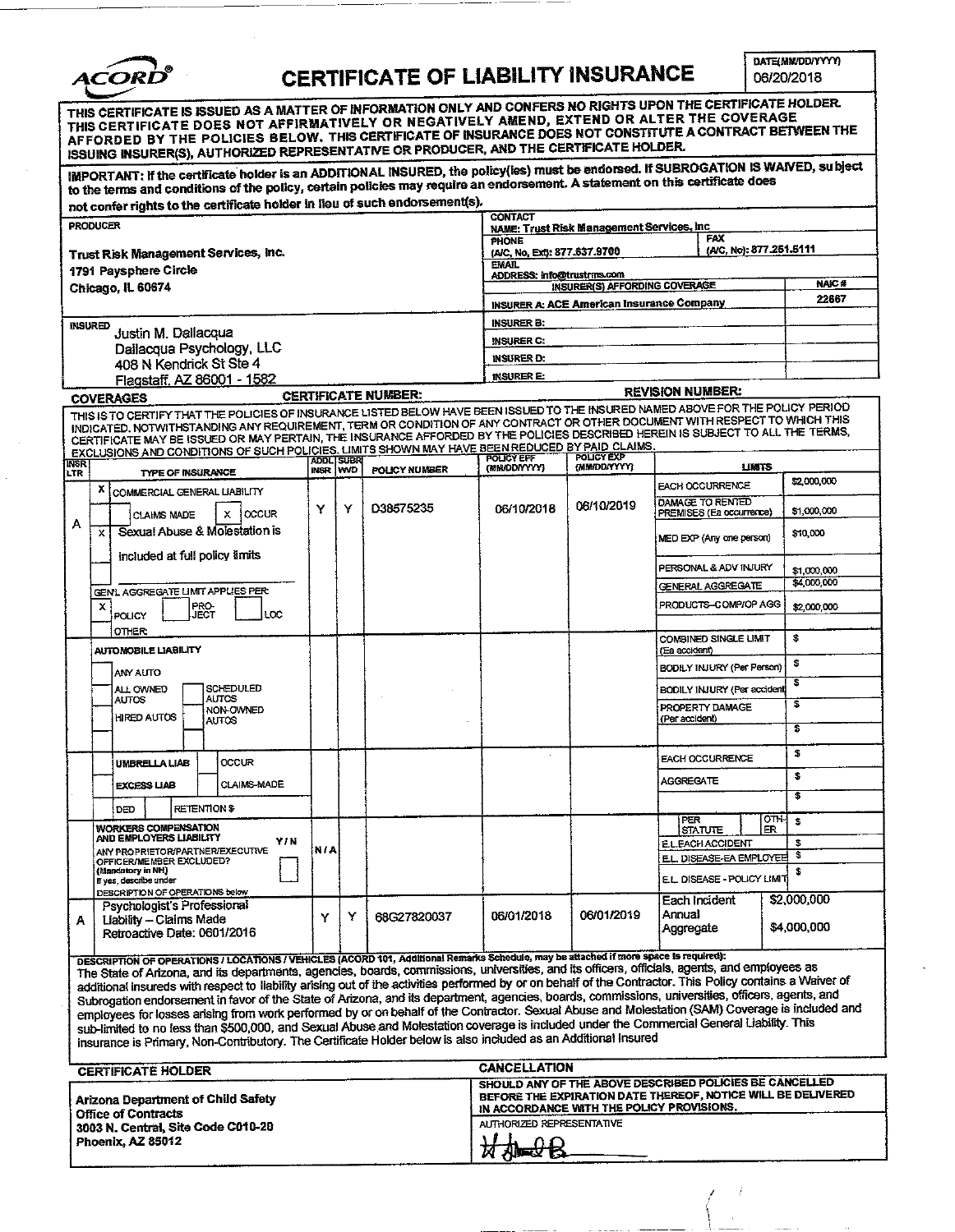

# **CERTIFICATE OF LIABILITY INSURANCE**

DATE(MM/DD/YYYY) 06/20/2018

| THIS CERTIFICATE IS ISSUED AS A MATTER OF INFORMATION ONLY AND CONFERS NO RIGHTS UPON THE CERTIFICATE HOLDER.<br>THIS CERTIFICATE DOES NOT AFFIRMATIVELY OR NEGATIVELY AMEND, EXTEND OR ALTER THE COVERAGE<br>AFFORDED BY THE POLICIES BELOW. THIS CERTIFICATE OF INSURANCE DOES NOT CONSTITUTE A CONTRACT BETWEEN THE<br>ISSUING INSURER(S), AUTHORIZED REPRESENTATIVE OR PRODUCER, AND THE CERTIFICATE HOLDER.<br>IMPORTANT: If the certificate holder is an ADDITIONAL INSURED, the policy(les) must be endorsed. If SUBROGATION IS WAIVED, subject |                                                                                                                                                                                                                                                                                                                                                                                                                                                                                                                                                                                                                                                                                                                                                                                                                                                                                                                                                                                                                           |       |                            |                                                                        |                                                  |                                                              |                            |  |
|--------------------------------------------------------------------------------------------------------------------------------------------------------------------------------------------------------------------------------------------------------------------------------------------------------------------------------------------------------------------------------------------------------------------------------------------------------------------------------------------------------------------------------------------------------|---------------------------------------------------------------------------------------------------------------------------------------------------------------------------------------------------------------------------------------------------------------------------------------------------------------------------------------------------------------------------------------------------------------------------------------------------------------------------------------------------------------------------------------------------------------------------------------------------------------------------------------------------------------------------------------------------------------------------------------------------------------------------------------------------------------------------------------------------------------------------------------------------------------------------------------------------------------------------------------------------------------------------|-------|----------------------------|------------------------------------------------------------------------|--------------------------------------------------|--------------------------------------------------------------|----------------------------|--|
| to the terms and conditions of the policy, certain policies may require an endorsement. A statement on this certificate does                                                                                                                                                                                                                                                                                                                                                                                                                           |                                                                                                                                                                                                                                                                                                                                                                                                                                                                                                                                                                                                                                                                                                                                                                                                                                                                                                                                                                                                                           |       |                            |                                                                        |                                                  |                                                              |                            |  |
| not confer rights to the certificate holder in lieu of such endorsement(s).                                                                                                                                                                                                                                                                                                                                                                                                                                                                            |                                                                                                                                                                                                                                                                                                                                                                                                                                                                                                                                                                                                                                                                                                                                                                                                                                                                                                                                                                                                                           |       |                            |                                                                        |                                                  |                                                              |                            |  |
| <b>PRODUCER</b>                                                                                                                                                                                                                                                                                                                                                                                                                                                                                                                                        |                                                                                                                                                                                                                                                                                                                                                                                                                                                                                                                                                                                                                                                                                                                                                                                                                                                                                                                                                                                                                           |       |                            | <b>CONTACT</b>                                                         | NAME: Trust Risk Management Services, Inc.       |                                                              |                            |  |
|                                                                                                                                                                                                                                                                                                                                                                                                                                                                                                                                                        |                                                                                                                                                                                                                                                                                                                                                                                                                                                                                                                                                                                                                                                                                                                                                                                                                                                                                                                                                                                                                           |       |                            | PHONE                                                                  |                                                  | FAX<br>(A/C, No): 877.251.5111                               |                            |  |
| Trust Risk Management Services, Inc.                                                                                                                                                                                                                                                                                                                                                                                                                                                                                                                   |                                                                                                                                                                                                                                                                                                                                                                                                                                                                                                                                                                                                                                                                                                                                                                                                                                                                                                                                                                                                                           |       |                            | (A/C, No, Ext): 877.637.9700<br><b>EMAIL</b>                           |                                                  |                                                              |                            |  |
| 1791 Paysphere Circle                                                                                                                                                                                                                                                                                                                                                                                                                                                                                                                                  |                                                                                                                                                                                                                                                                                                                                                                                                                                                                                                                                                                                                                                                                                                                                                                                                                                                                                                                                                                                                                           |       |                            | ADDRESS: info@trustrms.com                                             | <b>INSURER(S) AFFORDING COVERAGE</b>             |                                                              | <b>NAIC#</b>               |  |
| Chicago, IL 60674                                                                                                                                                                                                                                                                                                                                                                                                                                                                                                                                      |                                                                                                                                                                                                                                                                                                                                                                                                                                                                                                                                                                                                                                                                                                                                                                                                                                                                                                                                                                                                                           |       |                            |                                                                        | <b>INSURER A: ACE American Insurance Company</b> |                                                              | 22667                      |  |
|                                                                                                                                                                                                                                                                                                                                                                                                                                                                                                                                                        |                                                                                                                                                                                                                                                                                                                                                                                                                                                                                                                                                                                                                                                                                                                                                                                                                                                                                                                                                                                                                           |       |                            |                                                                        |                                                  |                                                              |                            |  |
| <b>INSURED</b><br>Justin M. Dallacqua                                                                                                                                                                                                                                                                                                                                                                                                                                                                                                                  |                                                                                                                                                                                                                                                                                                                                                                                                                                                                                                                                                                                                                                                                                                                                                                                                                                                                                                                                                                                                                           |       |                            | <b>INSURER B:</b>                                                      |                                                  |                                                              |                            |  |
| Dallacqua Psychology, LLC                                                                                                                                                                                                                                                                                                                                                                                                                                                                                                                              |                                                                                                                                                                                                                                                                                                                                                                                                                                                                                                                                                                                                                                                                                                                                                                                                                                                                                                                                                                                                                           |       |                            | <b>INSURER C:</b>                                                      |                                                  |                                                              |                            |  |
| 408 N Kendrick St Ste 4                                                                                                                                                                                                                                                                                                                                                                                                                                                                                                                                |                                                                                                                                                                                                                                                                                                                                                                                                                                                                                                                                                                                                                                                                                                                                                                                                                                                                                                                                                                                                                           |       |                            | <b>INSURER D:</b>                                                      |                                                  |                                                              |                            |  |
| Flagstaff, AZ 86001 - 1582                                                                                                                                                                                                                                                                                                                                                                                                                                                                                                                             |                                                                                                                                                                                                                                                                                                                                                                                                                                                                                                                                                                                                                                                                                                                                                                                                                                                                                                                                                                                                                           |       |                            | <b>INSURER E:</b>                                                      |                                                  | <b>REVISION NUMBER:</b>                                      |                            |  |
| <b>COVERAGES</b>                                                                                                                                                                                                                                                                                                                                                                                                                                                                                                                                       |                                                                                                                                                                                                                                                                                                                                                                                                                                                                                                                                                                                                                                                                                                                                                                                                                                                                                                                                                                                                                           |       | <b>CERTIFICATE NUMBER:</b> |                                                                        |                                                  |                                                              |                            |  |
| THIS IS TO CERTIFY THAT THE POLICIES OF INSURANCE LISTED BELOW HAVE BEEN ISSUED TO THE INSURED NAMED ABOVE FOR THE POLICY PERIOD<br>INDICATED, NOTWITHSTANDING ANY REQUIREMENT, TERM OR CONDITION OF ANY CONTRACT OR OTHER DOCUMENT WITH RESPECT TO WHICH THIS<br>CERTIFICATE MAY BE ISSUED OR MAY PERTAIN, THE INSURANCE AFFORDED BY THE POLICIES DESCRIBED HEREIN IS SUBJECT TO ALL THE TERMS,<br>EXCLUSIONS AND CONDITIONS OF SUCH POLICIES, LIMITS SHOWN MAY HAVE BEEN REDUCED BY PAID CLAIMS.                                                     |                                                                                                                                                                                                                                                                                                                                                                                                                                                                                                                                                                                                                                                                                                                                                                                                                                                                                                                                                                                                                           |       |                            | <b>POLICY EFF</b>                                                      | <b>POLICY EXP</b>                                |                                                              |                            |  |
| INSR<br><b>TYPE OF INSURANCE</b><br>LTR                                                                                                                                                                                                                                                                                                                                                                                                                                                                                                                | ADDL SUBR<br>INSR <sup>1</sup>                                                                                                                                                                                                                                                                                                                                                                                                                                                                                                                                                                                                                                                                                                                                                                                                                                                                                                                                                                                            | l wvo | POLICY NUMBER              | (MMOD/YYYY)                                                            | (MM/DD/YYYY)                                     | <b>LIMITS</b>                                                |                            |  |
| x<br>COMMERCIAL CENERAL LIABILITY                                                                                                                                                                                                                                                                                                                                                                                                                                                                                                                      |                                                                                                                                                                                                                                                                                                                                                                                                                                                                                                                                                                                                                                                                                                                                                                                                                                                                                                                                                                                                                           |       |                            |                                                                        |                                                  | <b>EACH OCCURRENCE</b>                                       | \$2,000,000                |  |
| <b>OCCUR</b><br>×.<br>CLAIMS MADE                                                                                                                                                                                                                                                                                                                                                                                                                                                                                                                      | Y                                                                                                                                                                                                                                                                                                                                                                                                                                                                                                                                                                                                                                                                                                                                                                                                                                                                                                                                                                                                                         | Υ     | D38575235                  | 06/10/2018                                                             | 06/10/2019                                       | DAMAGE TO RENTED<br>PREMISES (Ea occurrence)                 | \$1,000,000                |  |
| А<br>Sexual Abuse & Molestation is<br>x                                                                                                                                                                                                                                                                                                                                                                                                                                                                                                                |                                                                                                                                                                                                                                                                                                                                                                                                                                                                                                                                                                                                                                                                                                                                                                                                                                                                                                                                                                                                                           |       |                            |                                                                        |                                                  | MED EXP (Any one person)                                     | \$10,000                   |  |
| included at full policy limits                                                                                                                                                                                                                                                                                                                                                                                                                                                                                                                         |                                                                                                                                                                                                                                                                                                                                                                                                                                                                                                                                                                                                                                                                                                                                                                                                                                                                                                                                                                                                                           |       |                            |                                                                        |                                                  | PERSONAL & ADV INJURY                                        | \$1,000,000                |  |
|                                                                                                                                                                                                                                                                                                                                                                                                                                                                                                                                                        |                                                                                                                                                                                                                                                                                                                                                                                                                                                                                                                                                                                                                                                                                                                                                                                                                                                                                                                                                                                                                           |       |                            |                                                                        |                                                  | GENERAL AGGREGATE                                            | \$4,000,000                |  |
| GEN'L AGGREGATE LIMIT APPLIES PER                                                                                                                                                                                                                                                                                                                                                                                                                                                                                                                      |                                                                                                                                                                                                                                                                                                                                                                                                                                                                                                                                                                                                                                                                                                                                                                                                                                                                                                                                                                                                                           |       |                            |                                                                        |                                                  | PRODUCTS-COMP/OP AGG                                         | \$2,000,000                |  |
| PRO-<br>JECT<br>х<br>LOC<br>POLICY                                                                                                                                                                                                                                                                                                                                                                                                                                                                                                                     |                                                                                                                                                                                                                                                                                                                                                                                                                                                                                                                                                                                                                                                                                                                                                                                                                                                                                                                                                                                                                           |       |                            |                                                                        |                                                  |                                                              |                            |  |
| OTHER<br><b>AUTOMOBILE LIABILITY</b>                                                                                                                                                                                                                                                                                                                                                                                                                                                                                                                   |                                                                                                                                                                                                                                                                                                                                                                                                                                                                                                                                                                                                                                                                                                                                                                                                                                                                                                                                                                                                                           |       |                            |                                                                        |                                                  | COMBINED SINGLE LIMIT<br>(Ea accident)                       | \$                         |  |
| ANY AUTO                                                                                                                                                                                                                                                                                                                                                                                                                                                                                                                                               |                                                                                                                                                                                                                                                                                                                                                                                                                                                                                                                                                                                                                                                                                                                                                                                                                                                                                                                                                                                                                           |       |                            |                                                                        |                                                  | BODILY INJURY (Per Person)                                   | \$                         |  |
| SCHEDULED<br>ALL OWNED                                                                                                                                                                                                                                                                                                                                                                                                                                                                                                                                 |                                                                                                                                                                                                                                                                                                                                                                                                                                                                                                                                                                                                                                                                                                                                                                                                                                                                                                                                                                                                                           |       |                            |                                                                        |                                                  | BODILY INJURY (Per accident                                  | 3                          |  |
| AUTOS<br><b>AUTOS</b><br>NON-OWNED<br><b>HIRED AUTOS</b>                                                                                                                                                                                                                                                                                                                                                                                                                                                                                               |                                                                                                                                                                                                                                                                                                                                                                                                                                                                                                                                                                                                                                                                                                                                                                                                                                                                                                                                                                                                                           |       |                            |                                                                        |                                                  | PROPERTY DAMAGE                                              | \$.                        |  |
| <b>AUTOS</b>                                                                                                                                                                                                                                                                                                                                                                                                                                                                                                                                           |                                                                                                                                                                                                                                                                                                                                                                                                                                                                                                                                                                                                                                                                                                                                                                                                                                                                                                                                                                                                                           |       |                            |                                                                        |                                                  | (Per accident)                                               | \$                         |  |
|                                                                                                                                                                                                                                                                                                                                                                                                                                                                                                                                                        |                                                                                                                                                                                                                                                                                                                                                                                                                                                                                                                                                                                                                                                                                                                                                                                                                                                                                                                                                                                                                           |       |                            |                                                                        |                                                  | <b>EACH OCCURRENCE</b>                                       | \$                         |  |
| OCCUR<br>UMBRELLA LIAB                                                                                                                                                                                                                                                                                                                                                                                                                                                                                                                                 |                                                                                                                                                                                                                                                                                                                                                                                                                                                                                                                                                                                                                                                                                                                                                                                                                                                                                                                                                                                                                           |       |                            |                                                                        |                                                  | <b>AGGREGATE</b>                                             | \$                         |  |
| <b>CLAIMS MADE</b><br>EXCESS LIAB                                                                                                                                                                                                                                                                                                                                                                                                                                                                                                                      |                                                                                                                                                                                                                                                                                                                                                                                                                                                                                                                                                                                                                                                                                                                                                                                                                                                                                                                                                                                                                           |       |                            |                                                                        |                                                  |                                                              |                            |  |
| RETENTION \$<br>DED                                                                                                                                                                                                                                                                                                                                                                                                                                                                                                                                    |                                                                                                                                                                                                                                                                                                                                                                                                                                                                                                                                                                                                                                                                                                                                                                                                                                                                                                                                                                                                                           |       |                            |                                                                        |                                                  | PER                                                          | OTH-<br>\$                 |  |
| <b>WORKERS COMPENSATION</b><br>AND EMPLOYERS LIABILITY                                                                                                                                                                                                                                                                                                                                                                                                                                                                                                 |                                                                                                                                                                                                                                                                                                                                                                                                                                                                                                                                                                                                                                                                                                                                                                                                                                                                                                                                                                                                                           |       |                            |                                                                        |                                                  | <b>STATUTE</b><br>ER                                         |                            |  |
| YIN<br>ANY PROPRIETOR/PARTNER/EXECUTIVE                                                                                                                                                                                                                                                                                                                                                                                                                                                                                                                | NIA                                                                                                                                                                                                                                                                                                                                                                                                                                                                                                                                                                                                                                                                                                                                                                                                                                                                                                                                                                                                                       |       |                            |                                                                        |                                                  | E.L.EACH ACCIDENT                                            | \$.<br>\$                  |  |
| OFFICER/MEMBER EXCLUDED?<br>(Mandatory in NH)                                                                                                                                                                                                                                                                                                                                                                                                                                                                                                          |                                                                                                                                                                                                                                                                                                                                                                                                                                                                                                                                                                                                                                                                                                                                                                                                                                                                                                                                                                                                                           |       |                            |                                                                        |                                                  | E.L. DISEASE-EA EMPLOYEE                                     | s                          |  |
| If yes, describe under<br>DESCRIPTION OF OPERATIONS below                                                                                                                                                                                                                                                                                                                                                                                                                                                                                              |                                                                                                                                                                                                                                                                                                                                                                                                                                                                                                                                                                                                                                                                                                                                                                                                                                                                                                                                                                                                                           |       |                            |                                                                        |                                                  | E.L. DISEASE - POLICY LIMIT                                  |                            |  |
| Psychologist's Professional<br>Liability - Claims Made<br>A<br>Retroactive Date: 0601/2016                                                                                                                                                                                                                                                                                                                                                                                                                                                             | Y                                                                                                                                                                                                                                                                                                                                                                                                                                                                                                                                                                                                                                                                                                                                                                                                                                                                                                                                                                                                                         | Y     | 68G27820037                | 06/01/2018                                                             | 06/01/2019                                       | Each Incident<br>Annual<br>Aggregate                         | \$2,000,000<br>\$4,000,000 |  |
|                                                                                                                                                                                                                                                                                                                                                                                                                                                                                                                                                        | DESCRIPTION OF OPERATIONS / LOCATIONS / VEHICLES (ACORD 101, Additional Remarks Schedule, may be attached if more space is required):<br>The State of Arizona, and its departments, agencies, boards, commissions, universities, and its officers, officials, agents, and employees as<br>additional insureds with respect to liability arising out of the activities performed by or on behalf of the Contractor. This Policy contains a Waiver of<br>Subrogation endorsement in favor of the State of Arizona, and its department, agencies, boards, commissions, universities, officers, agents, and<br>employees for losses arising from work performed by or on behalf of the Contractor. Sexual Abuse and Molestation (SAM) Coverage is included and<br>sub-limited to no less than \$500,000, and Sexual Abuse and Molestation coverage is included under the Commercial General Liability. This<br>insurance is Primary, Non-Contributory. The Certificate Holder below is also included as an Additional Insured |       |                            |                                                                        |                                                  |                                                              |                            |  |
| <b>CERTIFICATE HOLDER</b>                                                                                                                                                                                                                                                                                                                                                                                                                                                                                                                              |                                                                                                                                                                                                                                                                                                                                                                                                                                                                                                                                                                                                                                                                                                                                                                                                                                                                                                                                                                                                                           |       |                            | <b>CANCELLATION</b>                                                    |                                                  | SHOULD ANY OF THE ABOVE DESCRIBED POLICIES BE CANCELLED      |                            |  |
| <b>Arizona Department of Child Safety</b><br><b>Office of Contracts</b>                                                                                                                                                                                                                                                                                                                                                                                                                                                                                |                                                                                                                                                                                                                                                                                                                                                                                                                                                                                                                                                                                                                                                                                                                                                                                                                                                                                                                                                                                                                           |       |                            | IN ACCORDANCE WITH THE POLICY PROVISIONS.<br>AUTHORIZED REPRESENTATIVE |                                                  | BEFORE THE EXPIRATION DATE THEREOF, NOTICE WILL BE DELIVERED |                            |  |
| 3003 N. Central, Site Code C010-20<br>Phoenix, AZ 85012                                                                                                                                                                                                                                                                                                                                                                                                                                                                                                |                                                                                                                                                                                                                                                                                                                                                                                                                                                                                                                                                                                                                                                                                                                                                                                                                                                                                                                                                                                                                           |       |                            | ₩₩₿                                                                    |                                                  |                                                              |                            |  |
|                                                                                                                                                                                                                                                                                                                                                                                                                                                                                                                                                        |                                                                                                                                                                                                                                                                                                                                                                                                                                                                                                                                                                                                                                                                                                                                                                                                                                                                                                                                                                                                                           |       |                            |                                                                        |                                                  |                                                              |                            |  |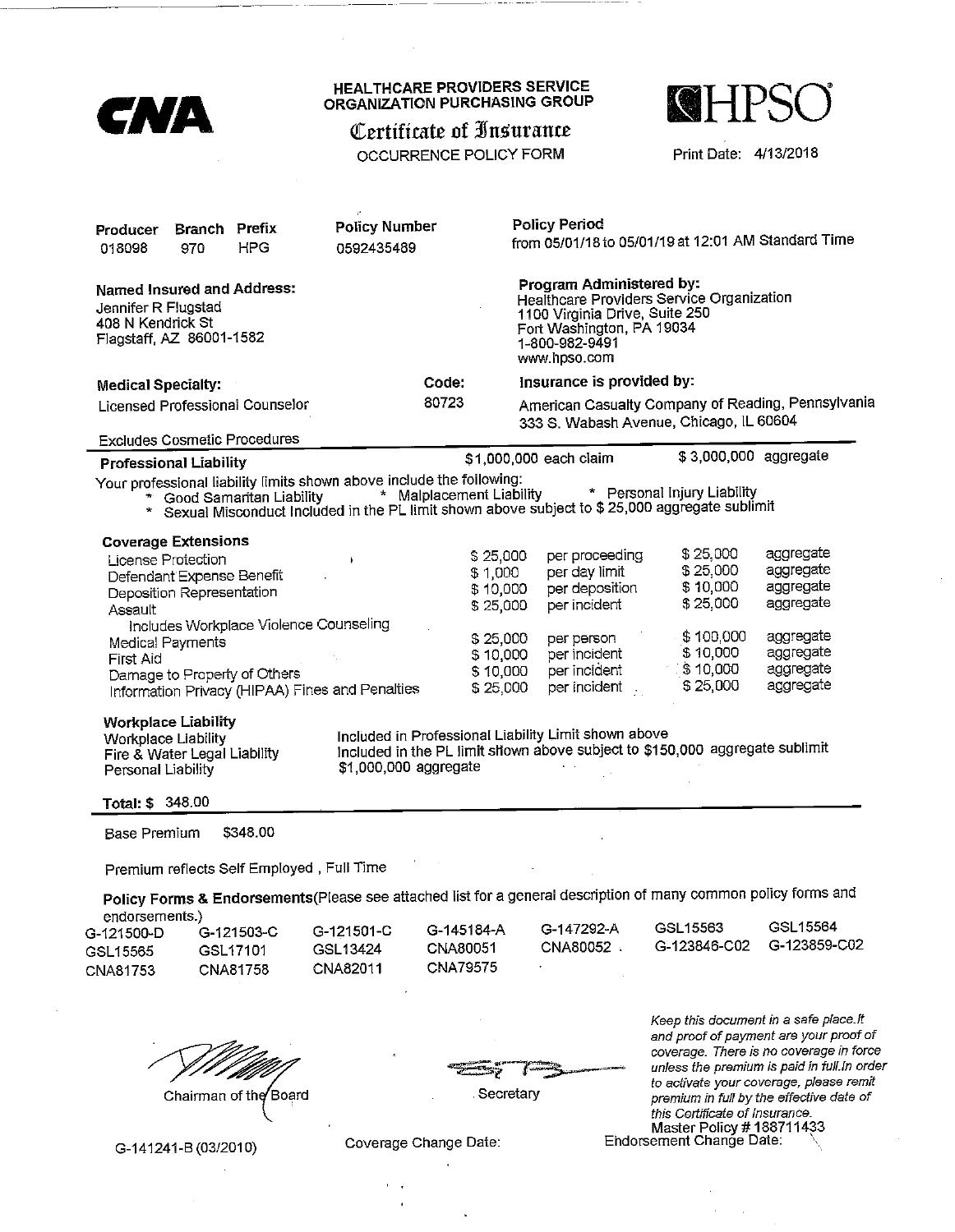| <b>CNA</b>                                                                                                                                                                                                                                                                          | <b>HEALTHCARE PROVIDERS SERVICE</b><br>ORGANIZATION PURCHASING GROUP<br>Certificate of Insurance<br>OCCURRENCE POLICY FORM |                                                                                                                                                                                                                                | <b>NHPSC</b><br>Print Date: 4/13/2018                                                                                           |                                                                                                                                                                                                                         |
|-------------------------------------------------------------------------------------------------------------------------------------------------------------------------------------------------------------------------------------------------------------------------------------|----------------------------------------------------------------------------------------------------------------------------|--------------------------------------------------------------------------------------------------------------------------------------------------------------------------------------------------------------------------------|---------------------------------------------------------------------------------------------------------------------------------|-------------------------------------------------------------------------------------------------------------------------------------------------------------------------------------------------------------------------|
| <b>Branch Prefix</b><br>Producer                                                                                                                                                                                                                                                    | <b>Policy Number</b>                                                                                                       | <b>Policy Period</b><br>from 05/01/18 to 05/01/19 at 12:01 AM Standard Time                                                                                                                                                    |                                                                                                                                 |                                                                                                                                                                                                                         |
| <b>HPG</b><br>018098<br>970<br><b>Named Insured and Address:</b><br>Jennifer R Flugstad<br>408 N Kendrick St                                                                                                                                                                        | 0592435489                                                                                                                 | Program Administered by:<br>Healthcare Providers Service Organization<br>1100 Virginia Drive, Suite 250<br>Fort Washington, PA 19034                                                                                           |                                                                                                                                 |                                                                                                                                                                                                                         |
| Flagstaff, AZ 86001-1582                                                                                                                                                                                                                                                            |                                                                                                                            | 1-800-982-9491<br>www.hpso.com                                                                                                                                                                                                 |                                                                                                                                 |                                                                                                                                                                                                                         |
| <b>Medical Specialty:</b>                                                                                                                                                                                                                                                           | Code:                                                                                                                      | Insurance is provided by:                                                                                                                                                                                                      |                                                                                                                                 |                                                                                                                                                                                                                         |
| Licensed Professional Counselor                                                                                                                                                                                                                                                     | 80723                                                                                                                      | American Casualty Company of Reading, Pennsylvania<br>333 S. Wabash Avenue, Chicago, IL 60604                                                                                                                                  |                                                                                                                                 |                                                                                                                                                                                                                         |
| <b>Excludes Cosmetic Procedures</b>                                                                                                                                                                                                                                                 |                                                                                                                            |                                                                                                                                                                                                                                |                                                                                                                                 |                                                                                                                                                                                                                         |
| <b>Professional Liability</b>                                                                                                                                                                                                                                                       |                                                                                                                            | \$1,000,000 each claim                                                                                                                                                                                                         | \$3,000,000 aggregate                                                                                                           |                                                                                                                                                                                                                         |
| Your professional liability limits shown above include the following:<br>* Good Samaritan Liability<br>* Sexual Misconduct Included in the PL limit shown above subject to \$ 25,000 aggregate sublimit                                                                             | * Malplacement Liability                                                                                                   |                                                                                                                                                                                                                                | * Personal Injury Liability                                                                                                     |                                                                                                                                                                                                                         |
| <b>Coverage Extensions</b><br>License Protection<br>Defendant Expense Benefit<br>Deposition Representation<br>Assault<br>Includes Workplace Violence Counseling<br>Medical Payments<br>First Aid<br>Damage to Property of Others<br>Information Privacy (HIPAA) Fines and Penalties | $\mathbf{F}$                                                                                                               | per proceeding<br>\$25,000<br>per day limit<br>\$1,000<br>per deposition<br>\$10,000<br>per incident<br>\$25,000<br>\$25,000<br>per person<br>per incident<br>\$10,000<br>per incident<br>\$10,000<br>per incident<br>\$25,000 | \$25,000<br>\$25,000<br>\$10,000<br>\$25,000<br>\$100,000<br>\$10,000<br>\$10,000<br>\$25,000                                   | aggregate<br>aggregate<br>aggregate<br>aggregate<br>aggregate<br>aggregate<br>aggregate<br>aggregate                                                                                                                    |
| <b>Workplace Liability</b><br><b>Workplace Liability</b><br>Fire & Water Legal Liability<br>Personal Liability                                                                                                                                                                      | \$1,000,000 aggregate                                                                                                      | Included in Professional Liability Limit shown above<br>Included in the PL limit shown above subject to \$150,000 aggregate sublimit                                                                                           |                                                                                                                                 |                                                                                                                                                                                                                         |
| Total: \$ 348.00<br>\$348.00<br><b>Base Premium</b>                                                                                                                                                                                                                                 |                                                                                                                            |                                                                                                                                                                                                                                |                                                                                                                                 |                                                                                                                                                                                                                         |
| Premium reflects Self Employed, Full Time                                                                                                                                                                                                                                           |                                                                                                                            |                                                                                                                                                                                                                                |                                                                                                                                 |                                                                                                                                                                                                                         |
| Policy Forms & Endorsements (Please see attached list for a general description of many common policy forms and<br>endorsements.)                                                                                                                                                   |                                                                                                                            |                                                                                                                                                                                                                                |                                                                                                                                 |                                                                                                                                                                                                                         |
| G-121500-D<br>G-121503-C<br>GSL17101<br>GSL15565<br>CNA81758<br>CNA81753                                                                                                                                                                                                            | G-145184-A<br>G-121501-C<br>CNA80051<br>GSL13424<br><b>CNA79575</b><br>CNA82011                                            | G-147292-A<br>CNA80052 .                                                                                                                                                                                                       | GSL15563<br>G-123846-C02                                                                                                        | GSL15564<br>G-123859-C02                                                                                                                                                                                                |
| Chairman of the Board<br>G-141241-B (03/2010)                                                                                                                                                                                                                                       | Coverage Change Date:                                                                                                      | Secretary                                                                                                                                                                                                                      | Keep this document in a safe place.It<br>this Certificate of Insurance.<br>Master Policy #188711433<br>Endorsement Change Date: | and proof of payment are your proof of<br>coverage. There is no coverage in force<br>unless the premium is paid in full.In order<br>to activate your coverage, please remit<br>premium in full by the effective date of |

 $\epsilon = \sqrt{\epsilon}$  $\hat{\mathbf{r}}$ 

 $\hat{\mathcal{A}}$ 

 $\hat{\mathcal{L}}$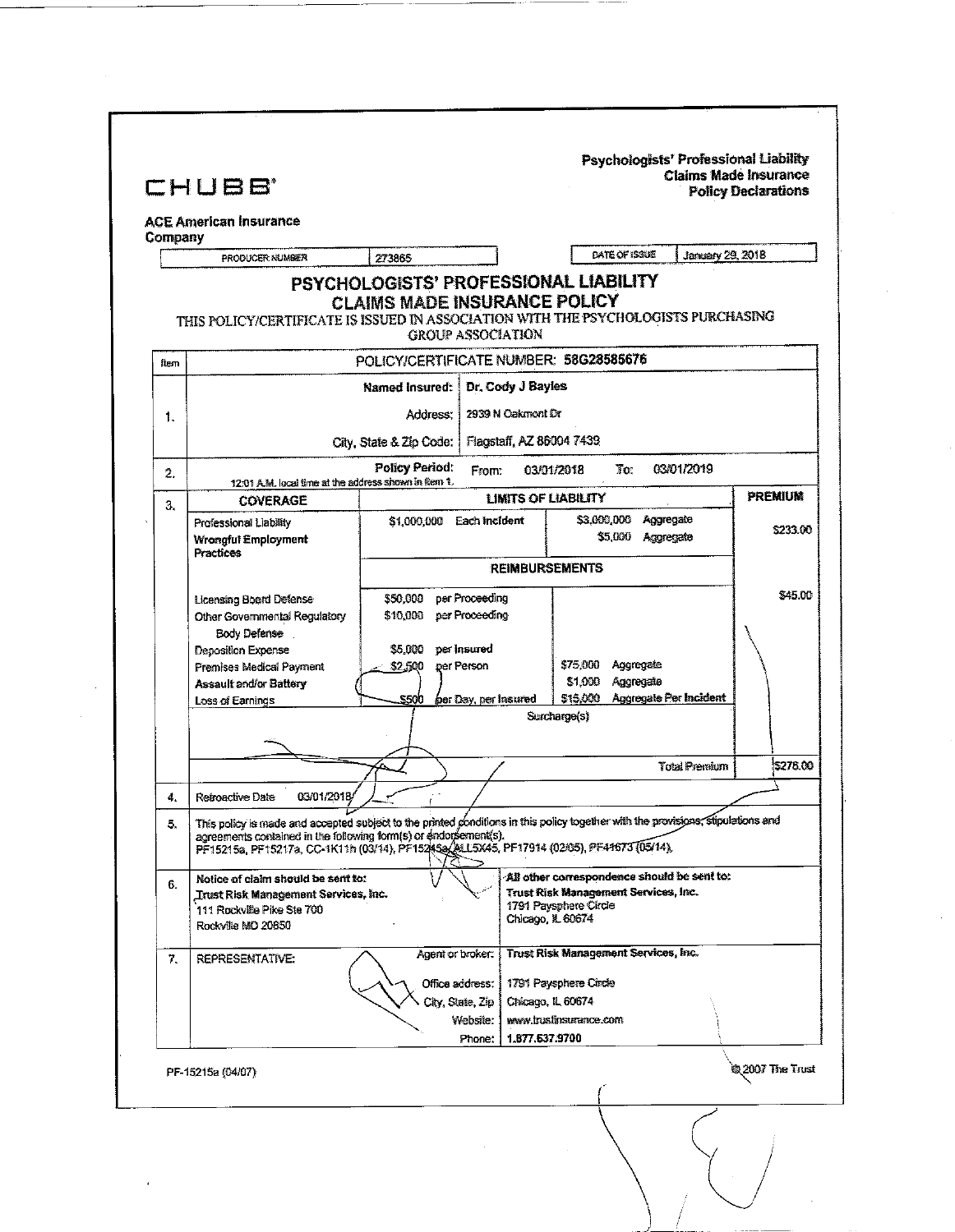| PSYCHOLOGISTS' PROFESSIONAL LIABILITY<br><b>CLAIMS MADE INSURANCE POLICY</b><br>THIS POLICY/CERTIFICATE IS ISSUED IN ASSOCIATION WITH THE PSYCHOLOGISTS PURCHASING<br><b>GROUP ASSOCIATION</b><br>POLICY/CERTIFICATE NUMBER: 58G28585676<br>item<br>Dr. Cody J Bayles<br>Named Insured:<br>2939 N Cakmont Dr<br>Address: 1<br>1.<br>Flagstaff, AZ 86004 7439<br>City, State & Zip Code:<br>Policy Period:<br>03/01/2019<br>To:<br>From:<br>03/01/2018<br>2.<br>12:01 A.M. local fime at the address shown in item 1.<br><b>PREMIUM</b><br><b>LIMITS OF LIABILITY</b><br><b>COVERAGE</b><br>3.<br>\$3,000,000<br>Aggregate<br>\$1,000,000 Each Incident<br>Professional Liability<br>\$233.00<br>\$5,000<br>Aggregate<br><b>Wrongful Employment</b><br>Practices<br><b>REIMBURSEMENTS</b><br>\$50,000<br>per Proceeding<br><b>Licensing Board Defense</b><br>\$10,000<br>per Proceeding<br>Other Governmental Regulatory<br>Body Defense<br>55,000<br>per insured<br>Deposition Expense<br>\$75,000<br>Aggregate<br>per Person<br>\$2,500<br>Premises Medical Payment<br>Aggregate<br>\$1,000<br><b>Assault and/or Battery</b><br><b>Aggregate Per Incident</b><br>515.000<br><b>S500</b><br>per Day, per Insured<br>Loss of Earnings<br>Surcharge(s)<br><b>Total Premium</b><br>03/01/2018/<br>Retroactive Date<br>4.<br>This policy is made and accepted subject to the printed conditions in this policy together with the provisions, stipulations and<br>5.<br>agreements contained in the following form(s) or endorsement(s).<br>PF15215a, PF15217a, CC-1K11h (03/14), PF15245a/ALL5X45, PF17914 (02/05), PF41673 (05/14),<br>All other correspondence should be sent to:<br>Notice of claim should be sent to:<br>6.<br>Trust Risk Management Services, Inc.<br><b>Trust Risk Management Services, Inc.</b><br>1791 Paysphere Circle<br>111 Rockville Pike Ste 700<br>Chicago, N. 60674<br>Rockville MD 20850<br><b>Trust Risk Management Services, Inc.</b><br>Agent or broker:<br>REPRESENTATIVE:<br>7.<br>1791 Paysphere Circle<br>Office address.<br>City, State, Zip<br>Chicago, IL 60674<br>Website:<br>www.trustinsurance.com<br>1.877.537.9700<br>Phone:<br>@2007 The Trust<br>PF-15215a (04/07) | Company<br>PRODUCER NUMBER | 273865 | DATE OF ISSUE | January 29, 2018 |
|-----------------------------------------------------------------------------------------------------------------------------------------------------------------------------------------------------------------------------------------------------------------------------------------------------------------------------------------------------------------------------------------------------------------------------------------------------------------------------------------------------------------------------------------------------------------------------------------------------------------------------------------------------------------------------------------------------------------------------------------------------------------------------------------------------------------------------------------------------------------------------------------------------------------------------------------------------------------------------------------------------------------------------------------------------------------------------------------------------------------------------------------------------------------------------------------------------------------------------------------------------------------------------------------------------------------------------------------------------------------------------------------------------------------------------------------------------------------------------------------------------------------------------------------------------------------------------------------------------------------------------------------------------------------------------------------------------------------------------------------------------------------------------------------------------------------------------------------------------------------------------------------------------------------------------------------------------------------------------------------------------------------------------------------------------------------------------------------------------------------------------------------------------------------------------------------------------------------|----------------------------|--------|---------------|------------------|
|                                                                                                                                                                                                                                                                                                                                                                                                                                                                                                                                                                                                                                                                                                                                                                                                                                                                                                                                                                                                                                                                                                                                                                                                                                                                                                                                                                                                                                                                                                                                                                                                                                                                                                                                                                                                                                                                                                                                                                                                                                                                                                                                                                                                                 |                            |        |               |                  |
|                                                                                                                                                                                                                                                                                                                                                                                                                                                                                                                                                                                                                                                                                                                                                                                                                                                                                                                                                                                                                                                                                                                                                                                                                                                                                                                                                                                                                                                                                                                                                                                                                                                                                                                                                                                                                                                                                                                                                                                                                                                                                                                                                                                                                 |                            |        |               |                  |
|                                                                                                                                                                                                                                                                                                                                                                                                                                                                                                                                                                                                                                                                                                                                                                                                                                                                                                                                                                                                                                                                                                                                                                                                                                                                                                                                                                                                                                                                                                                                                                                                                                                                                                                                                                                                                                                                                                                                                                                                                                                                                                                                                                                                                 |                            |        |               |                  |
|                                                                                                                                                                                                                                                                                                                                                                                                                                                                                                                                                                                                                                                                                                                                                                                                                                                                                                                                                                                                                                                                                                                                                                                                                                                                                                                                                                                                                                                                                                                                                                                                                                                                                                                                                                                                                                                                                                                                                                                                                                                                                                                                                                                                                 |                            |        |               |                  |
|                                                                                                                                                                                                                                                                                                                                                                                                                                                                                                                                                                                                                                                                                                                                                                                                                                                                                                                                                                                                                                                                                                                                                                                                                                                                                                                                                                                                                                                                                                                                                                                                                                                                                                                                                                                                                                                                                                                                                                                                                                                                                                                                                                                                                 |                            |        |               |                  |
|                                                                                                                                                                                                                                                                                                                                                                                                                                                                                                                                                                                                                                                                                                                                                                                                                                                                                                                                                                                                                                                                                                                                                                                                                                                                                                                                                                                                                                                                                                                                                                                                                                                                                                                                                                                                                                                                                                                                                                                                                                                                                                                                                                                                                 |                            |        |               |                  |
|                                                                                                                                                                                                                                                                                                                                                                                                                                                                                                                                                                                                                                                                                                                                                                                                                                                                                                                                                                                                                                                                                                                                                                                                                                                                                                                                                                                                                                                                                                                                                                                                                                                                                                                                                                                                                                                                                                                                                                                                                                                                                                                                                                                                                 |                            |        |               |                  |
|                                                                                                                                                                                                                                                                                                                                                                                                                                                                                                                                                                                                                                                                                                                                                                                                                                                                                                                                                                                                                                                                                                                                                                                                                                                                                                                                                                                                                                                                                                                                                                                                                                                                                                                                                                                                                                                                                                                                                                                                                                                                                                                                                                                                                 |                            |        |               |                  |
|                                                                                                                                                                                                                                                                                                                                                                                                                                                                                                                                                                                                                                                                                                                                                                                                                                                                                                                                                                                                                                                                                                                                                                                                                                                                                                                                                                                                                                                                                                                                                                                                                                                                                                                                                                                                                                                                                                                                                                                                                                                                                                                                                                                                                 |                            |        |               |                  |
|                                                                                                                                                                                                                                                                                                                                                                                                                                                                                                                                                                                                                                                                                                                                                                                                                                                                                                                                                                                                                                                                                                                                                                                                                                                                                                                                                                                                                                                                                                                                                                                                                                                                                                                                                                                                                                                                                                                                                                                                                                                                                                                                                                                                                 |                            |        |               |                  |
|                                                                                                                                                                                                                                                                                                                                                                                                                                                                                                                                                                                                                                                                                                                                                                                                                                                                                                                                                                                                                                                                                                                                                                                                                                                                                                                                                                                                                                                                                                                                                                                                                                                                                                                                                                                                                                                                                                                                                                                                                                                                                                                                                                                                                 |                            |        |               |                  |
|                                                                                                                                                                                                                                                                                                                                                                                                                                                                                                                                                                                                                                                                                                                                                                                                                                                                                                                                                                                                                                                                                                                                                                                                                                                                                                                                                                                                                                                                                                                                                                                                                                                                                                                                                                                                                                                                                                                                                                                                                                                                                                                                                                                                                 |                            |        |               |                  |
|                                                                                                                                                                                                                                                                                                                                                                                                                                                                                                                                                                                                                                                                                                                                                                                                                                                                                                                                                                                                                                                                                                                                                                                                                                                                                                                                                                                                                                                                                                                                                                                                                                                                                                                                                                                                                                                                                                                                                                                                                                                                                                                                                                                                                 |                            |        |               | \$45.00          |
|                                                                                                                                                                                                                                                                                                                                                                                                                                                                                                                                                                                                                                                                                                                                                                                                                                                                                                                                                                                                                                                                                                                                                                                                                                                                                                                                                                                                                                                                                                                                                                                                                                                                                                                                                                                                                                                                                                                                                                                                                                                                                                                                                                                                                 |                            |        |               |                  |
|                                                                                                                                                                                                                                                                                                                                                                                                                                                                                                                                                                                                                                                                                                                                                                                                                                                                                                                                                                                                                                                                                                                                                                                                                                                                                                                                                                                                                                                                                                                                                                                                                                                                                                                                                                                                                                                                                                                                                                                                                                                                                                                                                                                                                 |                            |        |               |                  |
|                                                                                                                                                                                                                                                                                                                                                                                                                                                                                                                                                                                                                                                                                                                                                                                                                                                                                                                                                                                                                                                                                                                                                                                                                                                                                                                                                                                                                                                                                                                                                                                                                                                                                                                                                                                                                                                                                                                                                                                                                                                                                                                                                                                                                 |                            |        |               |                  |
|                                                                                                                                                                                                                                                                                                                                                                                                                                                                                                                                                                                                                                                                                                                                                                                                                                                                                                                                                                                                                                                                                                                                                                                                                                                                                                                                                                                                                                                                                                                                                                                                                                                                                                                                                                                                                                                                                                                                                                                                                                                                                                                                                                                                                 |                            |        |               |                  |
|                                                                                                                                                                                                                                                                                                                                                                                                                                                                                                                                                                                                                                                                                                                                                                                                                                                                                                                                                                                                                                                                                                                                                                                                                                                                                                                                                                                                                                                                                                                                                                                                                                                                                                                                                                                                                                                                                                                                                                                                                                                                                                                                                                                                                 |                            |        |               |                  |
|                                                                                                                                                                                                                                                                                                                                                                                                                                                                                                                                                                                                                                                                                                                                                                                                                                                                                                                                                                                                                                                                                                                                                                                                                                                                                                                                                                                                                                                                                                                                                                                                                                                                                                                                                                                                                                                                                                                                                                                                                                                                                                                                                                                                                 |                            |        |               |                  |
|                                                                                                                                                                                                                                                                                                                                                                                                                                                                                                                                                                                                                                                                                                                                                                                                                                                                                                                                                                                                                                                                                                                                                                                                                                                                                                                                                                                                                                                                                                                                                                                                                                                                                                                                                                                                                                                                                                                                                                                                                                                                                                                                                                                                                 |                            |        |               | \$278.00         |
|                                                                                                                                                                                                                                                                                                                                                                                                                                                                                                                                                                                                                                                                                                                                                                                                                                                                                                                                                                                                                                                                                                                                                                                                                                                                                                                                                                                                                                                                                                                                                                                                                                                                                                                                                                                                                                                                                                                                                                                                                                                                                                                                                                                                                 |                            |        |               |                  |
|                                                                                                                                                                                                                                                                                                                                                                                                                                                                                                                                                                                                                                                                                                                                                                                                                                                                                                                                                                                                                                                                                                                                                                                                                                                                                                                                                                                                                                                                                                                                                                                                                                                                                                                                                                                                                                                                                                                                                                                                                                                                                                                                                                                                                 |                            |        |               |                  |
|                                                                                                                                                                                                                                                                                                                                                                                                                                                                                                                                                                                                                                                                                                                                                                                                                                                                                                                                                                                                                                                                                                                                                                                                                                                                                                                                                                                                                                                                                                                                                                                                                                                                                                                                                                                                                                                                                                                                                                                                                                                                                                                                                                                                                 |                            |        |               |                  |
|                                                                                                                                                                                                                                                                                                                                                                                                                                                                                                                                                                                                                                                                                                                                                                                                                                                                                                                                                                                                                                                                                                                                                                                                                                                                                                                                                                                                                                                                                                                                                                                                                                                                                                                                                                                                                                                                                                                                                                                                                                                                                                                                                                                                                 |                            |        |               |                  |
|                                                                                                                                                                                                                                                                                                                                                                                                                                                                                                                                                                                                                                                                                                                                                                                                                                                                                                                                                                                                                                                                                                                                                                                                                                                                                                                                                                                                                                                                                                                                                                                                                                                                                                                                                                                                                                                                                                                                                                                                                                                                                                                                                                                                                 |                            |        |               |                  |
|                                                                                                                                                                                                                                                                                                                                                                                                                                                                                                                                                                                                                                                                                                                                                                                                                                                                                                                                                                                                                                                                                                                                                                                                                                                                                                                                                                                                                                                                                                                                                                                                                                                                                                                                                                                                                                                                                                                                                                                                                                                                                                                                                                                                                 |                            |        |               |                  |
|                                                                                                                                                                                                                                                                                                                                                                                                                                                                                                                                                                                                                                                                                                                                                                                                                                                                                                                                                                                                                                                                                                                                                                                                                                                                                                                                                                                                                                                                                                                                                                                                                                                                                                                                                                                                                                                                                                                                                                                                                                                                                                                                                                                                                 |                            |        |               |                  |
|                                                                                                                                                                                                                                                                                                                                                                                                                                                                                                                                                                                                                                                                                                                                                                                                                                                                                                                                                                                                                                                                                                                                                                                                                                                                                                                                                                                                                                                                                                                                                                                                                                                                                                                                                                                                                                                                                                                                                                                                                                                                                                                                                                                                                 |                            |        |               |                  |
|                                                                                                                                                                                                                                                                                                                                                                                                                                                                                                                                                                                                                                                                                                                                                                                                                                                                                                                                                                                                                                                                                                                                                                                                                                                                                                                                                                                                                                                                                                                                                                                                                                                                                                                                                                                                                                                                                                                                                                                                                                                                                                                                                                                                                 |                            |        |               |                  |
|                                                                                                                                                                                                                                                                                                                                                                                                                                                                                                                                                                                                                                                                                                                                                                                                                                                                                                                                                                                                                                                                                                                                                                                                                                                                                                                                                                                                                                                                                                                                                                                                                                                                                                                                                                                                                                                                                                                                                                                                                                                                                                                                                                                                                 |                            |        |               |                  |
|                                                                                                                                                                                                                                                                                                                                                                                                                                                                                                                                                                                                                                                                                                                                                                                                                                                                                                                                                                                                                                                                                                                                                                                                                                                                                                                                                                                                                                                                                                                                                                                                                                                                                                                                                                                                                                                                                                                                                                                                                                                                                                                                                                                                                 |                            |        |               |                  |
|                                                                                                                                                                                                                                                                                                                                                                                                                                                                                                                                                                                                                                                                                                                                                                                                                                                                                                                                                                                                                                                                                                                                                                                                                                                                                                                                                                                                                                                                                                                                                                                                                                                                                                                                                                                                                                                                                                                                                                                                                                                                                                                                                                                                                 |                            |        |               |                  |

 $\label{eq:2} \frac{1}{\sqrt{2}}\left(\frac{1}{\sqrt{2}}\right)^{2} \left(\frac{1}{\sqrt{2}}\right)^{2}$ 

 $\mathcal{A}$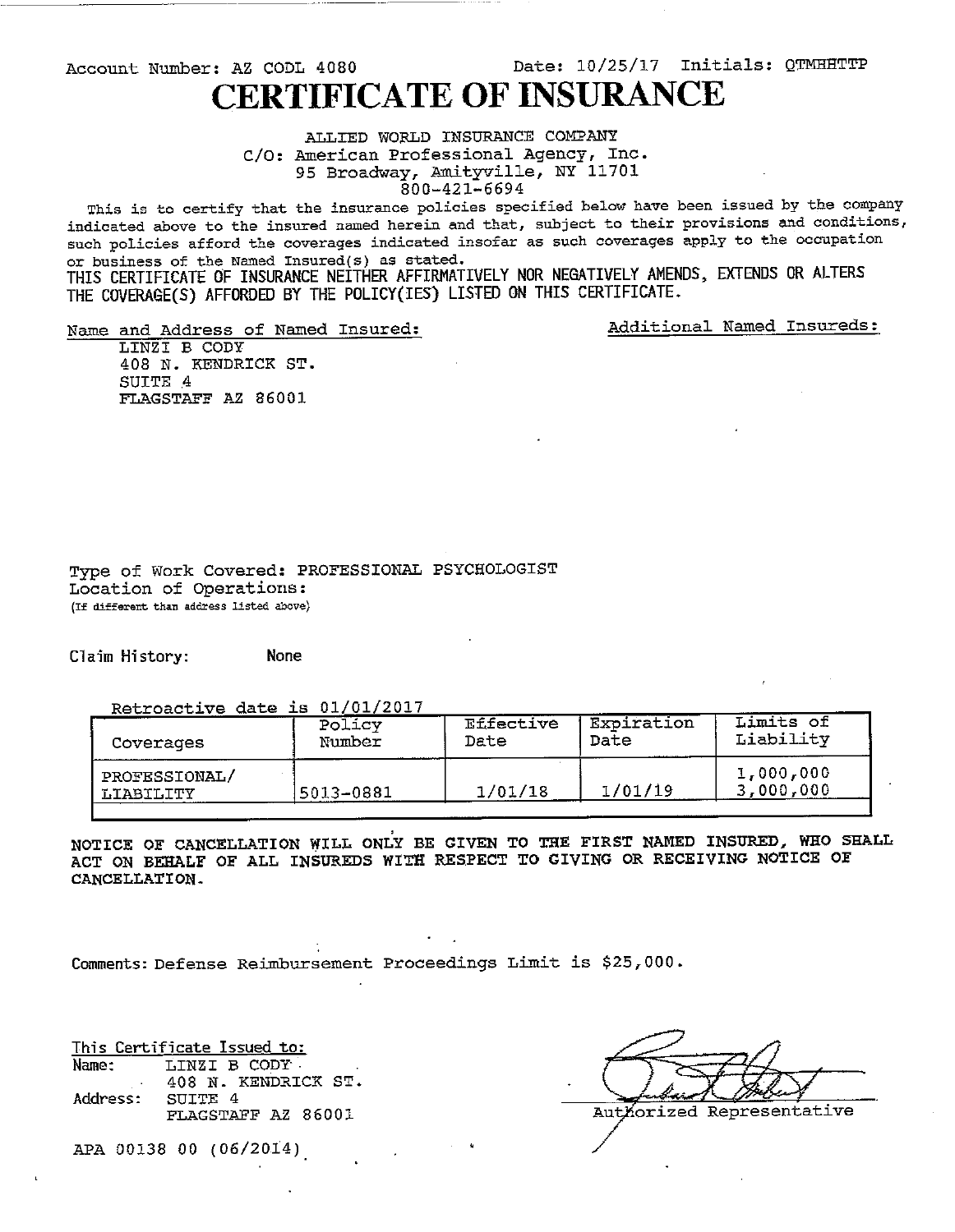Date: 10/25/17 Initials: QTMHHTTP Account Number: AZ CODL 4080 **CERTIFICATE OF INSURANCE** 

> ALLIED WORLD INSURANCE COMPANY C/O: American Professional Agency, Inc. 95 Broadway, Amityville, NY 11701 800-421-6694

This is to certify that the insurance policies specified below have been issued by the company indicated above to the insured named herein and that, subject to their provisions and conditions, such policies afford the coverages indicated insofar as such coverages apply to the occupation or business of the Named Insured(s) as stated.

THIS CERTIFICATE OF INSURANCE NEITHER AFFIRMATIVELY NOR NEGATIVELY AMENDS, EXTENDS OR ALTERS THE COVERAGE(S) AFFORDED BY THE POLICY(IES) LISTED ON THIS CERTIFICATE.

Name and Address of Named Insured:

Additional Named Insureds:

LINZI B CODY 408 N. KENDRICK ST. SUITE 4 FLAGSTAFF AZ 86001

Type of Work Covered: PROFESSIONAL PSYCHOLOGIST Location of Operations: (If different than address listed above)

Claim History: None

Retroactive date is 01/01/2017

| Coverages                         | Policy     | Effective | Expiration | Limits of              |
|-----------------------------------|------------|-----------|------------|------------------------|
|                                   | Number     | Date      | Date       | Liability              |
| PROFESSIONAL/<br><b>LIABILITY</b> | '5013-0881 | 1/01/18   | 1/01/19    | 1,000,000<br>3,000,000 |

NOTICE OF CANCELLATION WILL ONLY BE CIVEN TO THE FIRST NAMED INSURED, WHO SHALL ACT ON BEHALF OF ALL INSUREDS WITH RESPECT TO GIVING OR RECEIVING NOTICE OF CANCELLATION.

Comments: Defense Reimbursement Proceedings Limit is \$25,000.

This Certificate Issued to: LINZI B CODY Name: 408 N. KENDRICK ST. Address: SUITE 4 FLAGSTAFF AZ 86001

Authorized Representative

APA 00138 00 (06/2014)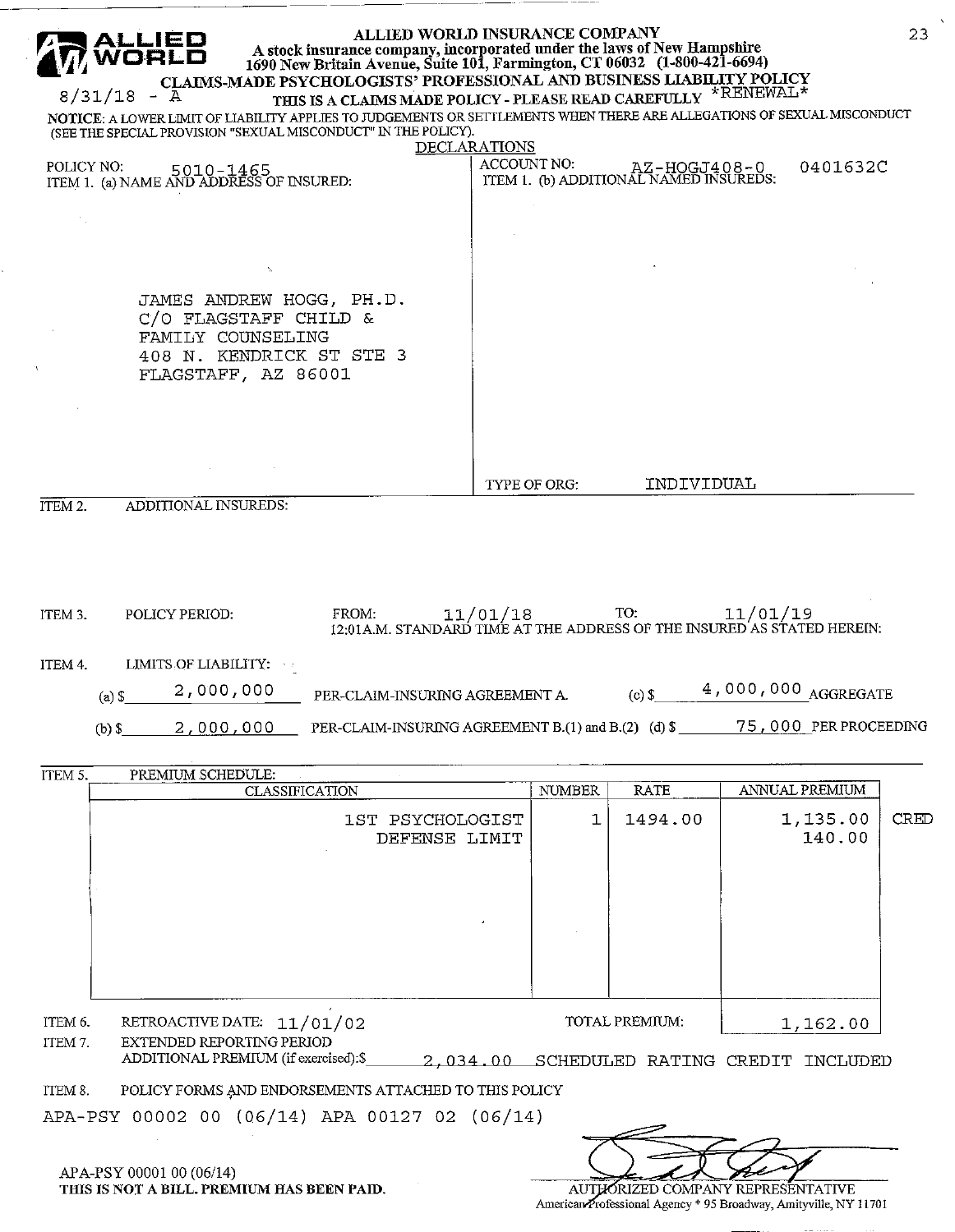| ALLIED WORLD INSURANCE COMPANY<br>23<br>A stock insurance company, incorporated under the laws of New Hampshire<br>1690 New Britain Avenue, Suite 101, Farmington, CT 06032 (1-800-421-6694)<br>CLAIMS-MADE PSYCHOLOGISTS' PROFESSIONAL AND BUSINESS LIABILITY POLICY<br>THIS IS A CLAIMS MADE POLICY - PLEASE READ CAREFULLY *RENEWAL*<br>$8/31/18 - A$<br>NOTICE: A LOWER LIMIT OF LIABILITY APPLIES TO JUDGEMENTS OR SETTLEMENTS WHEN THERE ARE ALLEGATIONS OF SEXUAL MISCONDUCT<br>(SEE THE SPECIAL PROVISION "SEXUAL MISCONDUCT" IN THE POLICY). |                                    |               |                                                        |                                                                                                                                      |      |  |  |  |  |
|-------------------------------------------------------------------------------------------------------------------------------------------------------------------------------------------------------------------------------------------------------------------------------------------------------------------------------------------------------------------------------------------------------------------------------------------------------------------------------------------------------------------------------------------------------|------------------------------------|---------------|--------------------------------------------------------|--------------------------------------------------------------------------------------------------------------------------------------|------|--|--|--|--|
| POLICY NO:<br>POLICY NO: 5010-1465<br>ITEM 1. (a) NAME AND ADDRESS OF INSURED:                                                                                                                                                                                                                                                                                                                                                                                                                                                                        | <b>DECLARATIONS</b><br>ACCOUNT NO: |               | AZ-HOGJ408-0<br>ITEM 1. (b) ADDITIONAL NAMED INSUREDS: | 0401632C                                                                                                                             |      |  |  |  |  |
| JAMES ANDREW HOGG, PH.D.<br>C/O FLAGSTAFF CHILD &<br>FAMILY COUNSELING<br>408 N. KENDRICK ST STE 3<br>FLAGSTAFF, AZ 86001                                                                                                                                                                                                                                                                                                                                                                                                                             |                                    |               |                                                        |                                                                                                                                      |      |  |  |  |  |
| ITEM 2.<br>ADDITIONAL INSUREDS:                                                                                                                                                                                                                                                                                                                                                                                                                                                                                                                       | TYPE OF ORG:                       |               | INDIVIDUAL                                             |                                                                                                                                      |      |  |  |  |  |
| FROM:<br>ITEM 3.<br>POLICY PERIOD:<br>LIMITS OF LIABILITY:<br>ITEM 4.<br>2,000,000<br>PER-CLAIM-INSURING AGREEMENT A.<br>$(a)$ \$<br>PER-CLAIM-INSURING AGREEMENT B.(1) and B.(2) (d) $\$$<br>2,000,000<br>$(b)$ \$                                                                                                                                                                                                                                                                                                                                   | 11/01/18                           |               | TO:<br>$(c)$ \$                                        | 11/01/19<br>12:01 A.M. STANDARD TIME AT THE ADDRESS OF THE INSURED AS STATED HEREIN:<br>4,000,000 AGGREGATE<br>75,000 PER PROCEEDING |      |  |  |  |  |
| ITEM 5.<br>PREMIUM SCHEDULE:<br><b>CLASSIFICATION</b>                                                                                                                                                                                                                                                                                                                                                                                                                                                                                                 |                                    | <b>NUMBER</b> | <b>RATE</b>                                            | ANNUAL PREMIUM                                                                                                                       |      |  |  |  |  |
| 1ST PSYCHOLOGIST<br>DEFENSE LIMIT                                                                                                                                                                                                                                                                                                                                                                                                                                                                                                                     |                                    | 1             | 1494.00                                                | 1,135.00<br>140.00                                                                                                                   | CRED |  |  |  |  |
|                                                                                                                                                                                                                                                                                                                                                                                                                                                                                                                                                       |                                    |               |                                                        |                                                                                                                                      |      |  |  |  |  |
| RETROACTIVE DATE: 11/01/02<br>ITEM 6.<br>ITEM 7.<br>EXTENDED REPORTING PERIOD<br>ADDITIONAL PREMIUM (if exercised):\$<br>POLICY FORMS AND ENDORSEMENTS ATTACHED TO THIS POLICY<br>ITEM 8.                                                                                                                                                                                                                                                                                                                                                             |                                    |               | TOTAL PREMIUM:                                         | 1,162.00<br>2,034.00 SCHEDULED RATING CREDIT INCLUDED                                                                                |      |  |  |  |  |
| APA-PSY 00002 00 (06/14) APA 00127 02 (06/14)                                                                                                                                                                                                                                                                                                                                                                                                                                                                                                         |                                    |               |                                                        |                                                                                                                                      |      |  |  |  |  |
| APA-PSY 00001 00 (06/14)<br>THIS IS NOT A BILL. PREMIUM HAS BEEN PAID.                                                                                                                                                                                                                                                                                                                                                                                                                                                                                |                                    |               |                                                        | AUTHORIZED COMPANY REPRESENTATIVE<br>American Professional Agency * 95 Broadway, Amityville, NY 11701                                |      |  |  |  |  |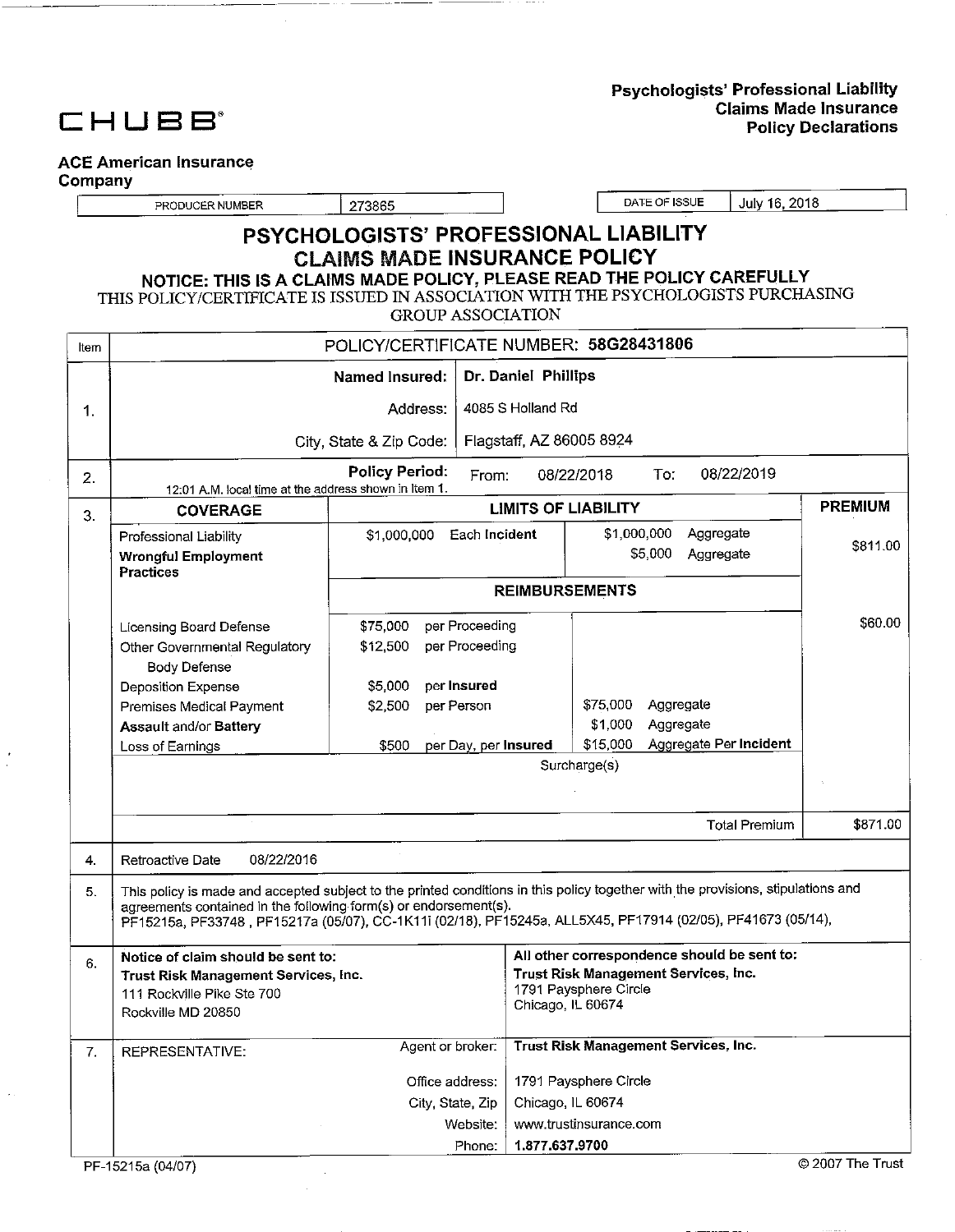# CHUBB<sup>®</sup>

#### Psychologists' Professional Liability **Claims Made Insurance Policy Declarations**

## **ACE American Insurance**

Company

PRODUCER NUMBER

273865

DATE OF ISSUE July 16, 2018

## PSYCHOLOGISTS' PROFESSIONAL LIABILITY **CLAIMS MADE INSURANCE POLICY** NOTICE: THIS IS A CLAIMS MADE POLICY, PLEASE READ THE POLICY CAREFULLY

THIS POLICY/CERTIFICATE IS ISSUED IN ASSOCIATION WITH THE PSYCHOLOGISTS PURCHASING

**GROUP ASSOCIATION** 

| Item | POLICY/CERTIFICATE NUMBER: 58G28431806                                                                                                                                          |                         |                                                                                                                                   |                     |                            |                                             |                |  |  |
|------|---------------------------------------------------------------------------------------------------------------------------------------------------------------------------------|-------------------------|-----------------------------------------------------------------------------------------------------------------------------------|---------------------|----------------------------|---------------------------------------------|----------------|--|--|
|      |                                                                                                                                                                                 | Named Insured:          |                                                                                                                                   | Dr. Daniel Phillips |                            |                                             |                |  |  |
| 1.   |                                                                                                                                                                                 | Address:                | 4085 S Holland Rd                                                                                                                 |                     |                            |                                             |                |  |  |
|      |                                                                                                                                                                                 | City, State & Zip Code: |                                                                                                                                   |                     | Flagstaff, AZ 86005 8924   |                                             |                |  |  |
| 2.   | 12:01 A.M. local time at the address shown in Item 1.                                                                                                                           | <b>Policy Period:</b>   | From:                                                                                                                             |                     | 08/22/2018                 | 08/22/2019<br>To:                           |                |  |  |
| 3.   | <b>COVERAGE</b>                                                                                                                                                                 |                         |                                                                                                                                   |                     | <b>LIMITS OF LIABILITY</b> |                                             | <b>PREMIUM</b> |  |  |
|      | Professional Liability<br><b>Wrongful Employment</b><br><b>Practices</b>                                                                                                        | \$1,000,000             | Each Incident                                                                                                                     |                     | \$1,000,000                | Aggregate<br>\$5,000<br>Aggregate           | \$811.00       |  |  |
|      |                                                                                                                                                                                 |                         |                                                                                                                                   |                     | <b>REIMBURSEMENTS</b>      |                                             |                |  |  |
|      | Licensing Board Defense<br>Other Governmental Regulatory<br>Body Defense                                                                                                        | \$75,000<br>\$12,500    | per Proceeding<br>per Proceeding                                                                                                  |                     |                            |                                             | \$60.00        |  |  |
|      | Deposition Expense                                                                                                                                                              | \$5,000                 | per Insured                                                                                                                       |                     |                            |                                             |                |  |  |
|      | Premises Medical Payment<br><b>Assault and/or Battery</b>                                                                                                                       | \$2,500                 | per Person                                                                                                                        |                     | \$75,000<br>\$1,000        | Aggregate<br>Aggregate                      |                |  |  |
|      | Loss of Earnings                                                                                                                                                                | \$500                   | per Day, per Insured                                                                                                              |                     | \$15,000                   | Aggregate Per Incident                      |                |  |  |
|      |                                                                                                                                                                                 |                         |                                                                                                                                   | Surcharge(s)        |                            |                                             |                |  |  |
|      |                                                                                                                                                                                 |                         |                                                                                                                                   |                     |                            |                                             |                |  |  |
|      |                                                                                                                                                                                 |                         |                                                                                                                                   |                     |                            | <b>Total Premium</b>                        | \$871.00       |  |  |
| 4.   | 08/22/2016<br>Retroactive Date                                                                                                                                                  |                         |                                                                                                                                   |                     |                            |                                             |                |  |  |
| 5.   | This policy is made and accepted subject to the printed conditions in this policy together with the provisions, stipulations and                                                |                         |                                                                                                                                   |                     |                            |                                             |                |  |  |
|      | agreements contained in the following form(s) or endorsement(s).<br>PF15215a, PF33748, PF15217a (05/07), CC-1K11i (02/18), PF15245a, ALL5X45, PF17914 (02/05), PF41673 (05/14), |                         |                                                                                                                                   |                     |                            |                                             |                |  |  |
| 6.   | Notice of claim should be sent to:<br>Trust Risk Management Services, Inc.<br>111 Rockville Pike Ste 700<br>Rockville MD 20850                                                  |                         | All other correspondence should be sent to:<br>Trust Risk Management Services, Inc.<br>1791 Paysphere Circle<br>Chicago, IL 60674 |                     |                            |                                             |                |  |  |
| 7.   | <b>REPRESENTATIVE:</b>                                                                                                                                                          | Agent or broker:        |                                                                                                                                   |                     |                            | <b>Trust Risk Management Services, Inc.</b> |                |  |  |
|      |                                                                                                                                                                                 | Office address:         |                                                                                                                                   |                     | 1791 Paysphere Circle      |                                             |                |  |  |
|      |                                                                                                                                                                                 | City, State, Zip        |                                                                                                                                   |                     | Chicago, IL 60674          |                                             |                |  |  |
|      |                                                                                                                                                                                 |                         | Website:                                                                                                                          |                     | www.trustinsurance.com     |                                             |                |  |  |
|      | 1.877.637.9700<br>Phone:                                                                                                                                                        |                         |                                                                                                                                   |                     |                            |                                             |                |  |  |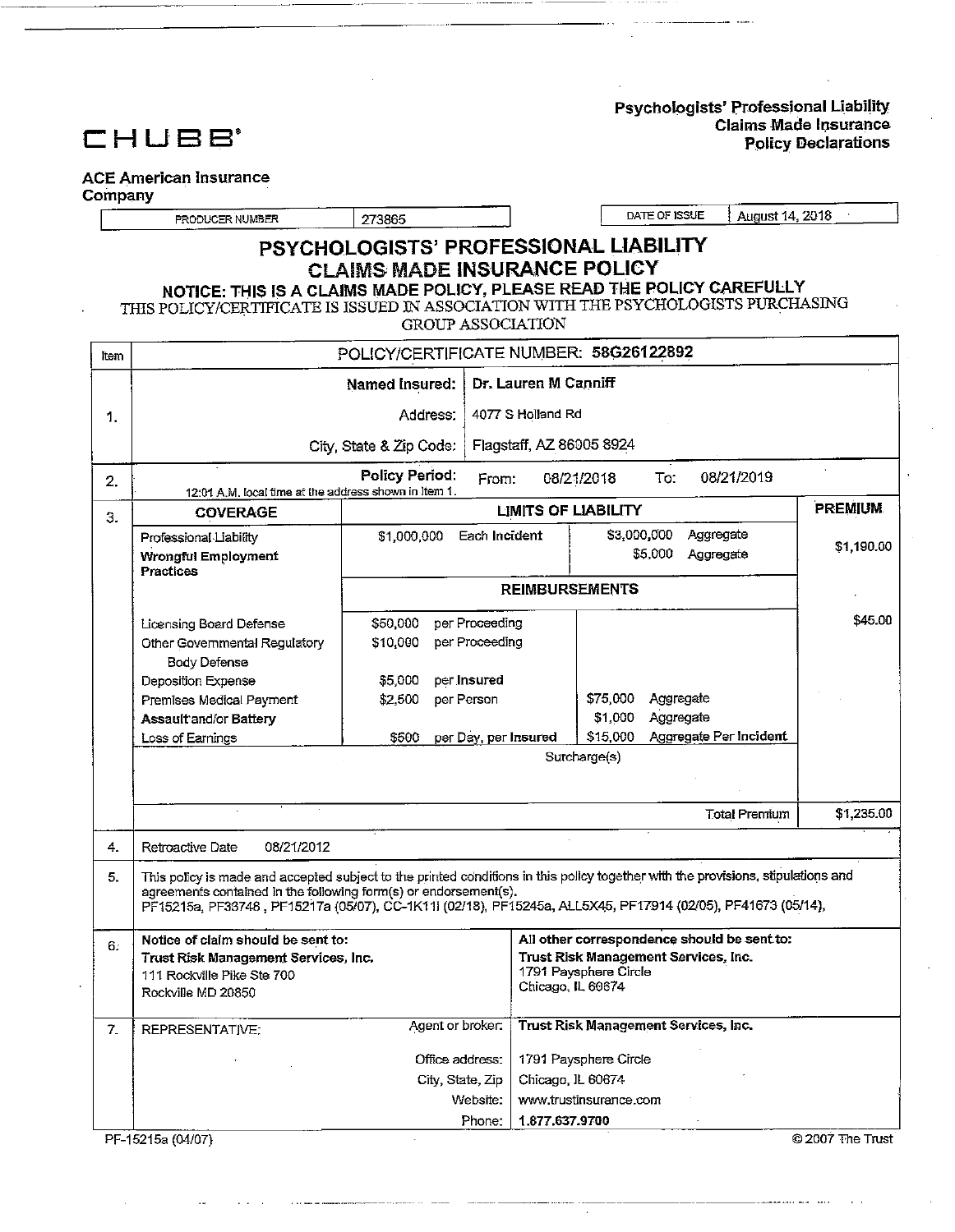Psychologists' Professional Liability **Claims Made Insurance Policy Declarations** 



### **ACE American Insurance**

#### Company

PRODUCER NUMBER

273865

DATE OF ISSUE August 14, 2018

## PSYCHOLOGISTS' PROFESSIONAL LIABILITY **CLAIMS MADE INSURANCE POLICY**

NOTICE: THIS IS A CLAIMS MADE POLICY, PLEASE READ THE POLICY CAREFULLY<br>THIS POLICY/CERTIFICATE IS ISSUED IN ASSOCIATION WITH THE PSYCHOLOGISTS PURCHASING

**GROUP ASSOCIATION** 

| ltem         | POLICY/CERTIFICATE NUMBER: 58G26122892                                                                                           |                         |                      |                                            |                            |           |                                             |                  |
|--------------|----------------------------------------------------------------------------------------------------------------------------------|-------------------------|----------------------|--------------------------------------------|----------------------------|-----------|---------------------------------------------|------------------|
|              |                                                                                                                                  | Named Insured:          |                      | Dr. Lauren M Canniff                       |                            |           |                                             |                  |
| 1.           |                                                                                                                                  | Address:                | 4077 S Holland Rd    |                                            |                            |           |                                             |                  |
|              |                                                                                                                                  | City, State & Zip Code: |                      |                                            | Flagstaff, AZ 86005 8924   |           |                                             |                  |
| 2.           | Policy Period:<br>08/21/2019<br>To:<br>08/21/2018<br>From:<br>12:01 A.M. local time at the address shown in Item 1.              |                         |                      |                                            |                            |           |                                             |                  |
| З.           | <b>COVERAGE</b>                                                                                                                  |                         |                      |                                            | <b>LIMITS OF LIABILITY</b> |           |                                             | <b>PREMIUM</b>   |
|              | Professional Liability                                                                                                           | \$1,000,000             | Each Incident        |                                            | \$3,000,000                |           | Aggregate                                   |                  |
|              | Wrongful Employment<br>Practices                                                                                                 |                         |                      |                                            |                            | \$5,000   | Aggregate                                   | \$1,190.00       |
|              |                                                                                                                                  |                         |                      |                                            | <b>REIMBURSEMENTS</b>      |           |                                             |                  |
|              | Licensing Board Defense                                                                                                          | \$50,000                | per Proceeding       |                                            |                            |           |                                             | \$45.00          |
|              | Other Governmental Regulatory                                                                                                    | \$10,000                | per Proceeding       |                                            |                            |           |                                             |                  |
|              | <b>Body Defense</b>                                                                                                              |                         |                      |                                            |                            |           |                                             |                  |
|              | Deposition Expense                                                                                                               | \$5,000                 | per Insured          |                                            |                            |           |                                             |                  |
|              | Premises Medical Payment                                                                                                         | \$2,500                 | per Person           |                                            | \$75,000                   | Aggregate |                                             |                  |
|              | Assault and/or Battery                                                                                                           |                         |                      |                                            | \$1,000                    | Aggregate |                                             |                  |
|              | Loss of Earnings                                                                                                                 | 5500                    | per Day, per Insured |                                            | \$15,000                   |           | Aggregate Per Incident                      |                  |
|              |                                                                                                                                  |                         |                      |                                            | Surcharge(s)               |           |                                             |                  |
|              |                                                                                                                                  |                         |                      |                                            |                            |           |                                             |                  |
|              |                                                                                                                                  |                         |                      |                                            |                            |           | <b>Total Premium</b>                        | \$1,235.00       |
| 4.           | Retroactive Date<br>08/21/2012                                                                                                   |                         |                      |                                            |                            |           |                                             |                  |
| 5.           | This policy is made and accepted subject to the printed conditions in this policy together with the provisions, stipulations and |                         |                      |                                            |                            |           |                                             |                  |
|              | agreements contained in the following form(s) or endorsement(s).                                                                 |                         |                      |                                            |                            |           |                                             |                  |
|              | PF15215a, PF33748, PF15217a (05/07), CC-1K11i (02/18), PF15245a, ALL5X45, PF17914 (02/05), PF41673 (05/14),                      |                         |                      |                                            |                            |           |                                             |                  |
|              | Notice of claim should be sent to:                                                                                               |                         |                      |                                            |                            |           | All other correspondence should be sent to: |                  |
| 6:           | Trust Risk Management Services, Inc.<br>Trust Risk Management Services, Inc.                                                     |                         |                      |                                            |                            |           |                                             |                  |
|              | 111 Rockville Pike Ste 700                                                                                                       |                         |                      | 1791 Paysphere Circle<br>Chicago, IL 60674 |                            |           |                                             |                  |
|              | Rockville MD 20850                                                                                                               |                         |                      |                                            |                            |           |                                             |                  |
| $\mathbf{7}$ | Trust Risk Management Services, Inc.<br>Agent or broker:<br>REPRESENTATIVE:                                                      |                         |                      |                                            |                            |           |                                             |                  |
|              |                                                                                                                                  |                         |                      |                                            |                            |           |                                             |                  |
|              |                                                                                                                                  | Office address:         |                      |                                            | 1791 Paysphere Circle      |           |                                             |                  |
|              |                                                                                                                                  | City, State, Zip        | Website:             | Chicago, IL 60674                          | www.trustinsurance.com     |           |                                             |                  |
|              |                                                                                                                                  |                         | Phone:               | 1.877.637.9700                             |                            |           |                                             |                  |
|              | PF-15215a (04/07)                                                                                                                |                         |                      |                                            |                            |           |                                             | © 2007 The Trust |